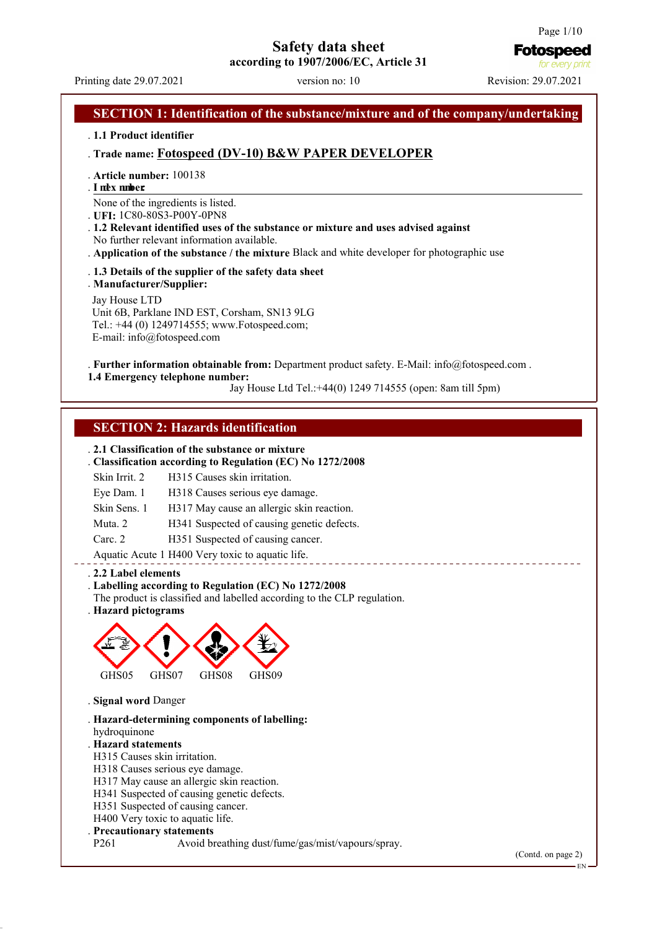# **Safety data sheet**

**according to 1907/2006/EC, Article 31**

**Fotospeed** for every orin

# Printing date 29.07.2021 version no: 10 Revision: 29.07.2021 **SECTION 1: Identification of the substance/mixture and of the company/undertaking** . **1.1 Product identifier** . **Trade name: Fotospeed (DV-10) B&W PAPER DEVELOPER** . **Article number:** 100138 . **I nde x numb e r:**  None of the ingredients is listed. . **UFI:** 1C80-80S3-P00Y-0PN8 . **1.2 Relevant identified uses of the substance or mixture and uses advised against** No further relevant information available. . **Application of the substance / the mixture** Black and white developer for photographic use . **1.3 Details of the supplier of the safety data sheet** . **Manufacturer/Supplier:** Jay House LTD Unit 6B, Parklane IND EST, Corsham, SN13 9LG Tel.: +44 (0) 1249714555; www.Fotospeed.com; E-mail: info@fotospeed.com . **Further information obtainable from:** Department product safety. E-Mail: info@fotospeed.com . **1.4 Emergency telephone number:** Jay House Ltd Tel.:+44(0) 1249 714555 (open: 8am till 5pm) **SECTION 2: Hazards identification** . **2.1 Classification of the substance or mixture** . **Classification according to Regulation (EC) No 1272/2008** Skin Irrit. 2 H315 Causes skin irritation. Eye Dam. 1 H318 Causes serious eye damage. Skin Sens. 1 H317 May cause an allergic skin reaction. Muta. 2 H341 Suspected of causing genetic defects. Carc. 2 H351 Suspected of causing cancer. Aquatic Acute 1 H400 Very toxic to aquatic life. \_\_\_\_\_\_\_\_\_\_\_\_\_\_\_\_\_\_\_\_\_\_\_\_\_\_\_\_ . **2.2 Label elements** . **Labelling according to Regulation (EC) No 1272/2008** The product is classified and labelled according to the CLP regulation. . **Hazard pictograms** GHS05 GHS07 GHS08 GHS09 . **Signal word** Danger . **Hazard-determining components of labelling:** hydroquinone . **Hazard statements** H315 Causes skin irritation. H318 Causes serious eye damage. H317 May cause an allergic skin reaction. H341 Suspected of causing genetic defects. H351 Suspected of causing cancer. H400 Very toxic to aquatic life. **Precautionary statements**<br>P261 Avoid by Avoid breathing dust/fume/gas/mist/vapours/spray. (Contd. on page 2)

EN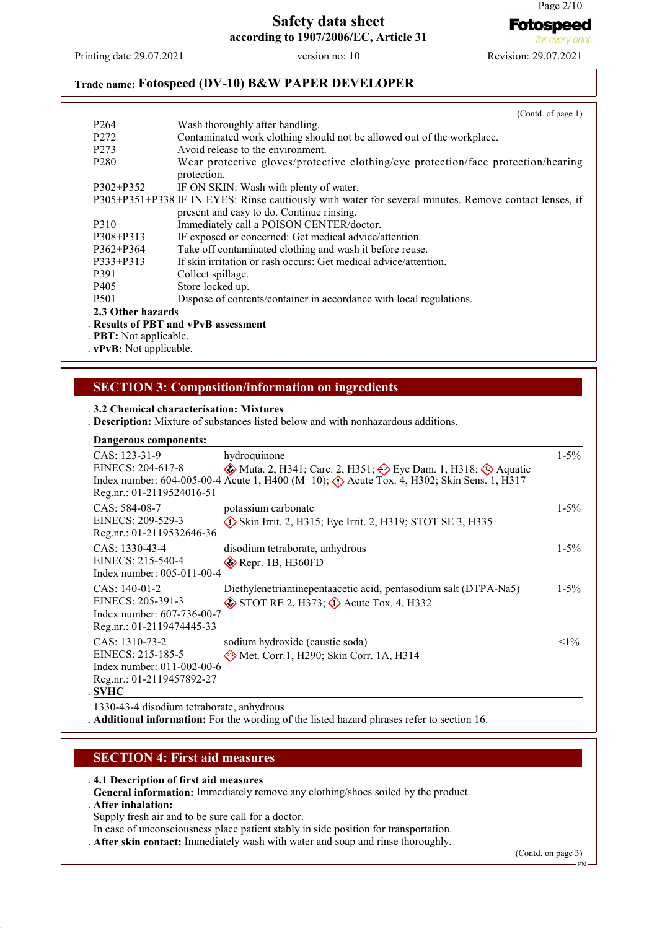Printing date 29.07.2021 version no: 10 Revision: 29.07.2021

## **Trade name: Fotospeed (DV-10) B&W PAPER DEVELOPER**

|                               | (Cond. of page 1)                                                                                     |
|-------------------------------|-------------------------------------------------------------------------------------------------------|
| P <sub>264</sub>              | Wash thoroughly after handling.                                                                       |
| P <sub>272</sub>              | Contaminated work clothing should not be allowed out of the workplace.                                |
| P <sub>273</sub>              | Avoid release to the environment.                                                                     |
| P <sub>280</sub>              | Wear protective gloves/protective clothing/eye protection/face protection/hearing<br>protection.      |
| $P302 + P352$                 | IF ON SKIN: Wash with plenty of water.                                                                |
|                               | P305+P351+P338 IF IN EYES: Rinse cautiously with water for several minutes. Remove contact lenses, if |
|                               | present and easy to do. Continue rinsing.                                                             |
| P310                          | Immediately call a POISON CENTER/doctor.                                                              |
| P308+P313                     | IF exposed or concerned: Get medical advice/attention.                                                |
| $P362 + P364$                 | Take off contaminated clothing and wash it before reuse.                                              |
| P333+P313                     | If skin irritation or rash occurs: Get medical advice/attention.                                      |
| P391                          | Collect spillage.                                                                                     |
| P <sub>405</sub>              | Store locked up.                                                                                      |
| P <sub>501</sub>              | Dispose of contents/container in accordance with local regulations.                                   |
| . 2.3 Other hazards           |                                                                                                       |
|                               | . Results of PBT and vPvB assessment                                                                  |
| . <b>PBT:</b> Not applicable. |                                                                                                       |
| . vPvB: Not applicable.       |                                                                                                       |

#### **SECTION 3: Composition/information on ingredients**

#### . **3.2 Chemical characterisation: Mixtures**

. **Description:** Mixture of substances listed below and with nonhazardous additions.

#### **Dangerous components:** .

| CAS: 123-31-9<br>EINECS: 204-617-8<br>Reg.nr.: 01-2119524016-51                                               | hydroquinone<br>$\circledast$ Muta. 2, H341; Carc. 2, H351; $\circledast$ Eye Dam. 1, H318; $\circledast$ Aquatic<br>Index number: 604-005-00-4 Acute 1, H400 (M=10); $\langle \rangle$ Acute Tox. 4, H302; Skin Sens. 1, H317 | $1 - 5\%$ |
|---------------------------------------------------------------------------------------------------------------|--------------------------------------------------------------------------------------------------------------------------------------------------------------------------------------------------------------------------------|-----------|
| $CAS: 584-08-7$<br>EINECS: 209-529-3<br>Reg.nr.: 01-2119532646-36                                             | potassium carbonate<br>$\Diamond$ Skin Irrit. 2, H315; Eye Irrit. 2, H319; STOT SE 3, H335                                                                                                                                     | $1 - 5\%$ |
| $CAS: 1330-43-4$<br>EINECS: 215-540-4<br>Index number: 005-011-00-4                                           | disodium tetraborate, anhydrous<br>$\diamond$ Repr. 1B, H360FD                                                                                                                                                                 | $1 - 5\%$ |
| $CAS: 140-01-2$<br>EINECS: 205-391-3<br>Index number: 607-736-00-7<br>Reg.nr.: 01-2119474445-33               | Diethylenetriaminepentaacetic acid, pentasodium salt (DTPA-Na5)<br>$\circledast$ STOT RE 2, H373; $\circledast$ Acute Tox. 4, H332                                                                                             | $1 - 5\%$ |
| CAS: 1310-73-2<br>EINECS: 215-185-5<br>Index number: 011-002-00-6<br>Reg.nr.: 01-2119457892-27<br><b>SVHC</b> | sodium hydroxide (caustic soda)<br>Met. Corr.1, H290; Skin Corr. 1A, H314                                                                                                                                                      | $<1\%$    |
| 1330-43-4 disodium tetraborate, anhydrous                                                                     |                                                                                                                                                                                                                                |           |

. **Additional information:** For the wording of the listed hazard phrases refer to section 16.

#### **SECTION 4: First aid measures**

. **4.1 Description of first aid measures**

. **General information:** Immediately remove any clothing/shoes soiled by the product.

. **After inhalation:**

Supply fresh air and to be sure call for a doctor.

- In case of unconsciousness place patient stably in side position for transportation.
- . **After skin contact:** Immediately wash with water and soap and rinse thoroughly.

(Contd. on page 3)

EN

**Fotospeed** for every pr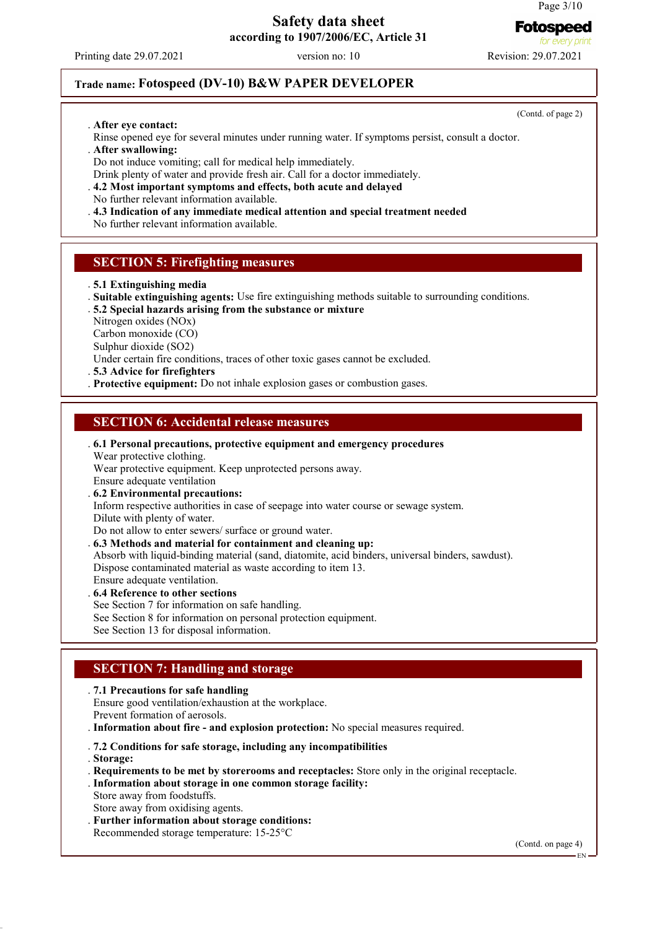**Fotospeed** 

#### **Safety data sheet according to 1907/2006/EC, Article 31**

Printing date 29.07.2021 version no: 10 Revision: 29.07.2021

## **Trade name: Fotospeed (DV-10) B&W PAPER DEVELOPER**

. **After eye contact:**

Rinse opened eye for several minutes under running water. If symptoms persist, consult a doctor.

. **After swallowing:**

Do not induce vomiting; call for medical help immediately.

Drink plenty of water and provide fresh air. Call for a doctor immediately.

. **4.2 Most important symptoms and effects, both acute and delayed**

No further relevant information available.

. **4.3 Indication of any immediate medical attention and special treatment needed**

No further relevant information available.

#### **SECTION 5: Firefighting measures**

- . **5.1 Extinguishing media**
- . **Suitable extinguishing agents:** Use fire extinguishing methods suitable to surrounding conditions.

. **5.2 Special hazards arising from the substance or mixture**

Nitrogen oxides (NOx)

Carbon monoxide (CO)

Sulphur dioxide (SO2)

Under certain fire conditions, traces of other toxic gases cannot be excluded.

. **5.3 Advice for firefighters**

. **Protective equipment:** Do not inhale explosion gases or combustion gases.

## **SECTION 6: Accidental release measures**

. **6.1 Personal precautions, protective equipment and emergency procedures**

Wear protective clothing.

Wear protective equipment. Keep unprotected persons away.

Ensure adequate ventilation

. **6.2 Environmental precautions:**

Inform respective authorities in case of seepage into water course or sewage system. Dilute with plenty of water.

Do not allow to enter sewers/ surface or ground water.

. **6.3 Methods and material for containment and cleaning up:**

Absorb with liquid-binding material (sand, diatomite, acid binders, universal binders, sawdust). Dispose contaminated material as waste according to item 13.

Ensure adequate ventilation.

. **6.4 Reference to other sections**

See Section 7 for information on safe handling.

See Section 8 for information on personal protection equipment.

See Section 13 for disposal information.

## **SECTION 7: Handling and storage**

. **7.1 Precautions for safe handling**

Ensure good ventilation/exhaustion at the workplace.

Prevent formation of aerosols.

. **Information about fire - and explosion protection:** No special measures required.

. **7.2 Conditions for safe storage, including any incompatibilities**

. **Storage:**

. **Requirements to be met by storerooms and receptacles:** Store only in the original receptacle.

. **Information about storage in one common storage facility:**

Store away from foodstuffs.

Store away from oxidising agents.

. **Further information about storage conditions:**

Recommended storage temperature: 15-25°C

(Contd. on page 4)

(Contd. of page 2)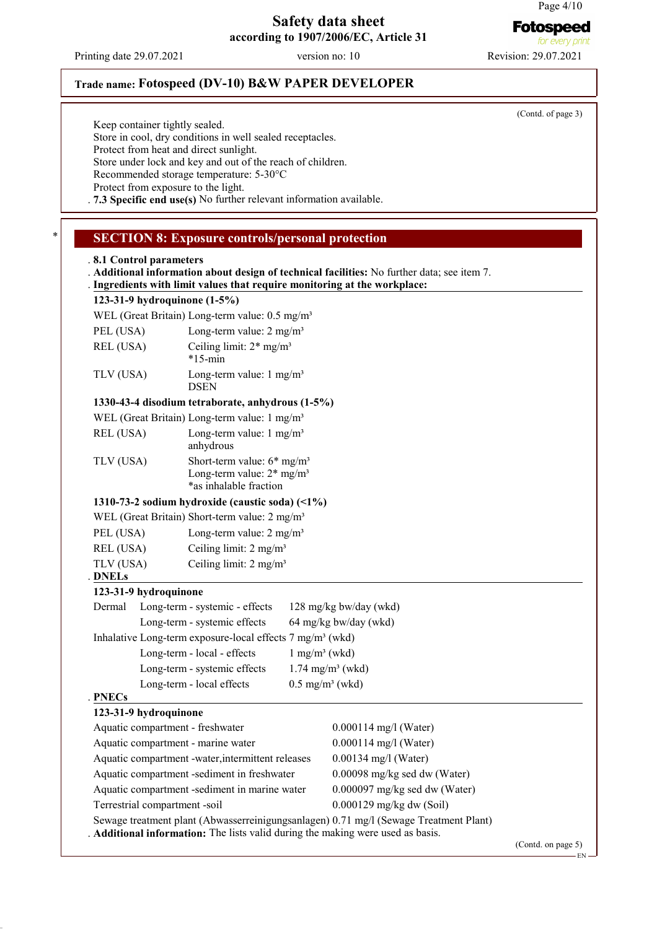**Fotospeed** for every ori

## **Safety data sheet according to 1907/2006/EC, Article 31**

Printing date 29.07.2021 version no: 10 Revision: 29.07.2021

(Contd. of page 3)

Keep container tightly sealed.

Store in cool, dry conditions in well sealed receptacles.

Protect from heat and direct sunlight.

Store under lock and key and out of the reach of children.

Recommended storage temperature: 5-30°C

Protect from exposure to the light. . **7.3 Specific end use(s)** No further relevant information available.

**Trade name: Fotospeed (DV-10) B&W PAPER DEVELOPER**

## **SECTION 8: Exposure controls/personal protection**

| .8.1 Control parameters            | Ingredients with limit values that require monitoring at the workplace:                                       |                         | . Additional information about design of technical facilities: No further data; see item 7.                                                                            |                    |
|------------------------------------|---------------------------------------------------------------------------------------------------------------|-------------------------|------------------------------------------------------------------------------------------------------------------------------------------------------------------------|--------------------|
| 123-31-9 hydroquinone (1-5%)       |                                                                                                               |                         |                                                                                                                                                                        |                    |
|                                    | WEL (Great Britain) Long-term value: 0.5 mg/m <sup>3</sup>                                                    |                         |                                                                                                                                                                        |                    |
| PEL (USA)                          | Long-term value: $2 \text{ mg/m}^3$                                                                           |                         |                                                                                                                                                                        |                    |
| REL (USA)                          | Ceiling limit: $2*$ mg/m <sup>3</sup><br>$*15$ -min                                                           |                         |                                                                                                                                                                        |                    |
| TLV (USA)                          | Long-term value: $1 \text{ mg/m}^3$<br><b>DSEN</b>                                                            |                         |                                                                                                                                                                        |                    |
|                                    | 1330-43-4 disodium tetraborate, anhydrous (1-5%)                                                              |                         |                                                                                                                                                                        |                    |
|                                    | WEL (Great Britain) Long-term value: 1 mg/m <sup>3</sup>                                                      |                         |                                                                                                                                                                        |                    |
| REL (USA)                          | Long-term value: $1 \text{ mg/m}^3$<br>anhydrous                                                              |                         |                                                                                                                                                                        |                    |
| TLV (USA)                          | Short-term value: $6*$ mg/m <sup>3</sup><br>Long-term value: $2*$ mg/m <sup>3</sup><br>*as inhalable fraction |                         |                                                                                                                                                                        |                    |
|                                    | 1310-73-2 sodium hydroxide (caustic soda) $(1\%)$                                                             |                         |                                                                                                                                                                        |                    |
|                                    | WEL (Great Britain) Short-term value: 2 mg/m <sup>3</sup>                                                     |                         |                                                                                                                                                                        |                    |
| PEL (USA)                          | Long-term value: $2 \text{ mg/m}^3$                                                                           |                         |                                                                                                                                                                        |                    |
| REL (USA)                          | Ceiling limit: $2 \text{ mg/m}^3$                                                                             |                         |                                                                                                                                                                        |                    |
| TLV (USA)<br><b>DNELs</b>          | Ceiling limit: 2 mg/m <sup>3</sup>                                                                            |                         |                                                                                                                                                                        |                    |
| 123-31-9 hydroquinone              |                                                                                                               |                         |                                                                                                                                                                        |                    |
| Dermal                             | Long-term - systemic - effects                                                                                |                         | 128 mg/kg bw/day (wkd)                                                                                                                                                 |                    |
|                                    | Long-term - systemic effects                                                                                  |                         | 64 mg/kg bw/day (wkd)                                                                                                                                                  |                    |
|                                    | Inhalative Long-term exposure-local effects 7 mg/m <sup>3</sup> (wkd)                                         |                         |                                                                                                                                                                        |                    |
|                                    | Long-term - local - effects                                                                                   |                         | $1$ mg/m <sup>3</sup> (wkd)                                                                                                                                            |                    |
|                                    | Long-term - systemic effects                                                                                  |                         | $1.74$ mg/m <sup>3</sup> (wkd)                                                                                                                                         |                    |
|                                    | Long-term - local effects                                                                                     |                         | $0.5$ mg/m <sup>3</sup> (wkd)                                                                                                                                          |                    |
| <b>PNECs</b>                       |                                                                                                               |                         |                                                                                                                                                                        |                    |
| 123-31-9 hydroquinone              |                                                                                                               |                         |                                                                                                                                                                        |                    |
| Aquatic compartment - freshwater   |                                                                                                               |                         | $0.000114$ mg/l (Water)                                                                                                                                                |                    |
| Aquatic compartment - marine water |                                                                                                               | $0.000114$ mg/l (Water) |                                                                                                                                                                        |                    |
|                                    | Aquatic compartment -water, intermittent releases                                                             |                         | $0.00134$ mg/l (Water)                                                                                                                                                 |                    |
|                                    | Aquatic compartment -sediment in freshwater                                                                   |                         | 0.00098 mg/kg sed dw (Water)                                                                                                                                           |                    |
|                                    | Aquatic compartment -sediment in marine water                                                                 |                         | $0.000097$ mg/kg sed dw (Water)                                                                                                                                        |                    |
| Terrestrial compartment -soil      |                                                                                                               |                         | 0.000129 mg/kg dw (Soil)                                                                                                                                               |                    |
|                                    |                                                                                                               |                         | Sewage treatment plant (Abwasserreinigungsanlagen) 0.71 mg/l (Sewage Treatment Plant)<br>Additional information: The lists valid during the making were used as basis. |                    |
|                                    |                                                                                                               |                         |                                                                                                                                                                        | (Contd. on page 5) |

EN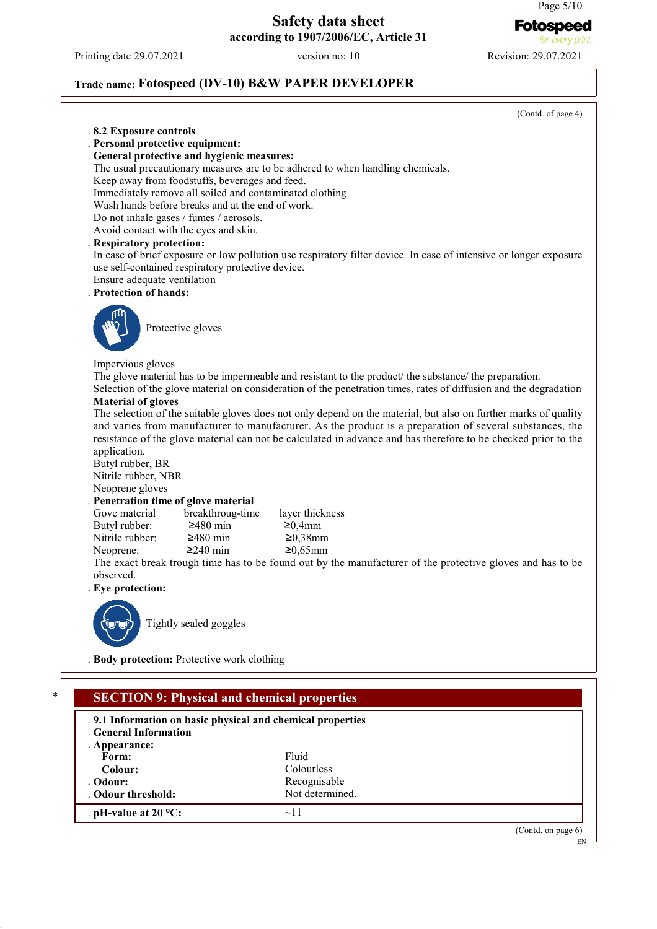Printing date 29.07.2021 version no: 10 Revision: 29.07.2021

. Odour threshold:

. **pH-value at 20 °C:** ~11

for every print

Page 5/10

**Fotospeed** 

# **Trade name: Fotospeed (DV-10) B&W PAPER DEVELOPER**

|                                  |                                                                                                           | (Contd. of page 4)                                                                                                                                                                                                          |
|----------------------------------|-----------------------------------------------------------------------------------------------------------|-----------------------------------------------------------------------------------------------------------------------------------------------------------------------------------------------------------------------------|
| .8.2 Exposure controls           |                                                                                                           |                                                                                                                                                                                                                             |
| . Personal protective equipment: |                                                                                                           |                                                                                                                                                                                                                             |
|                                  | . General protective and hygienic measures:                                                               |                                                                                                                                                                                                                             |
|                                  |                                                                                                           | The usual precautionary measures are to be adhered to when handling chemicals.                                                                                                                                              |
|                                  | Keep away from foodstuffs, beverages and feed.<br>Immediately remove all soiled and contaminated clothing |                                                                                                                                                                                                                             |
|                                  | Wash hands before breaks and at the end of work.                                                          |                                                                                                                                                                                                                             |
|                                  | Do not inhale gases / fumes / aerosols.                                                                   |                                                                                                                                                                                                                             |
|                                  | Avoid contact with the eyes and skin.                                                                     |                                                                                                                                                                                                                             |
| . Respiratory protection:        |                                                                                                           |                                                                                                                                                                                                                             |
|                                  |                                                                                                           | In case of brief exposure or low pollution use respiratory filter device. In case of intensive or longer exposure                                                                                                           |
|                                  | use self-contained respiratory protective device.                                                         |                                                                                                                                                                                                                             |
| Ensure adequate ventilation      |                                                                                                           |                                                                                                                                                                                                                             |
| . Protection of hands:           |                                                                                                           |                                                                                                                                                                                                                             |
|                                  |                                                                                                           |                                                                                                                                                                                                                             |
|                                  | Protective gloves                                                                                         |                                                                                                                                                                                                                             |
|                                  |                                                                                                           |                                                                                                                                                                                                                             |
|                                  |                                                                                                           |                                                                                                                                                                                                                             |
| Impervious gloves                |                                                                                                           |                                                                                                                                                                                                                             |
|                                  |                                                                                                           | The glove material has to be impermeable and resistant to the product the substance the preparation.                                                                                                                        |
|                                  |                                                                                                           | Selection of the glove material on consideration of the penetration times, rates of diffusion and the degradation                                                                                                           |
| . Material of gloves             |                                                                                                           |                                                                                                                                                                                                                             |
|                                  |                                                                                                           | The selection of the suitable gloves does not only depend on the material, but also on further marks of quality<br>and varies from manufacturer to manufacturer. As the product is a preparation of several substances, the |
|                                  |                                                                                                           | resistance of the glove material can not be calculated in advance and has therefore to be checked prior to the                                                                                                              |
| application.                     |                                                                                                           |                                                                                                                                                                                                                             |
| Butyl rubber, BR                 |                                                                                                           |                                                                                                                                                                                                                             |
| Nitrile rubber, NBR              |                                                                                                           |                                                                                                                                                                                                                             |
| Neoprene gloves                  |                                                                                                           |                                                                                                                                                                                                                             |
|                                  | . Penetration time of glove material                                                                      |                                                                                                                                                                                                                             |
| Gove material                    | breakthroug-time                                                                                          | layer thickness                                                                                                                                                                                                             |
| Butyl rubber:                    | $≥480$ min                                                                                                | ≥0,4mm                                                                                                                                                                                                                      |
| Nitrile rubber:                  | $\geq 480$ min                                                                                            | $≥0,38mm$                                                                                                                                                                                                                   |
| Neoprene:                        | $≥240$ min                                                                                                | $≥0,65$ mm<br>The exact break trough time has to be found out by the manufacturer of the protective gloves and has to be                                                                                                    |
| observed.                        |                                                                                                           |                                                                                                                                                                                                                             |
| Eye protection:                  |                                                                                                           |                                                                                                                                                                                                                             |
|                                  |                                                                                                           |                                                                                                                                                                                                                             |
|                                  |                                                                                                           |                                                                                                                                                                                                                             |
|                                  | Tightly sealed goggles                                                                                    |                                                                                                                                                                                                                             |
|                                  |                                                                                                           |                                                                                                                                                                                                                             |
|                                  | . Body protection: Protective work clothing                                                               |                                                                                                                                                                                                                             |
|                                  |                                                                                                           |                                                                                                                                                                                                                             |
|                                  |                                                                                                           |                                                                                                                                                                                                                             |
|                                  | <b>SECTION 9: Physical and chemical properties</b>                                                        |                                                                                                                                                                                                                             |
|                                  | .9.1 Information on basic physical and chemical properties                                                |                                                                                                                                                                                                                             |
| . General Information            |                                                                                                           |                                                                                                                                                                                                                             |
| . Appearance:                    |                                                                                                           |                                                                                                                                                                                                                             |
| Form:                            |                                                                                                           | Fluid                                                                                                                                                                                                                       |
| Colour:                          |                                                                                                           | Colourless                                                                                                                                                                                                                  |
| Odour:                           |                                                                                                           | Recognisable                                                                                                                                                                                                                |

Recognisable<br>Not determined.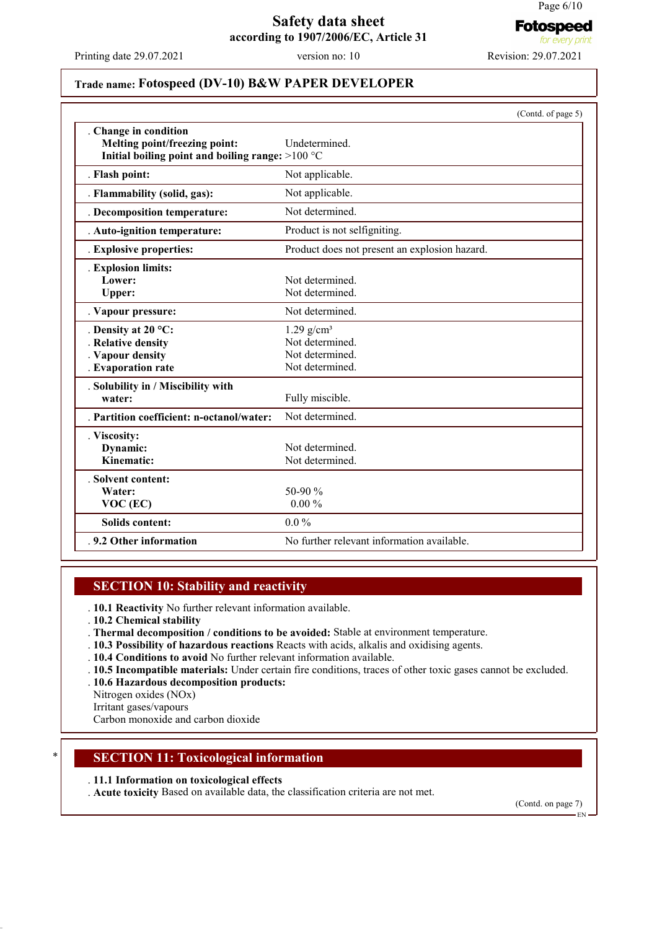**Fotospeed** for every pi

#### **Safety data sheet according to 1907/2006/EC, Article 31**

Printing date 29.07.2021 version no: 10 Revision: 29.07.2021

# **Trade name: Fotospeed (DV-10) B&W PAPER DEVELOPER**

|                                                                                                              | (Contd. of page 5)                                                                |
|--------------------------------------------------------------------------------------------------------------|-----------------------------------------------------------------------------------|
| . Change in condition<br>Melting point/freezing point:<br>Initial boiling point and boiling range: $>100 °C$ | Undetermined.                                                                     |
| . Flash point:                                                                                               | Not applicable.                                                                   |
| . Flammability (solid, gas):                                                                                 | Not applicable.                                                                   |
| . Decomposition temperature:                                                                                 | Not determined.                                                                   |
| . Auto-ignition temperature:                                                                                 | Product is not selfigniting.                                                      |
| . Explosive properties:                                                                                      | Product does not present an explosion hazard.                                     |
| . Explosion limits:<br>Lower:<br><b>Upper:</b>                                                               | Not determined.<br>Not determined.                                                |
| . Vapour pressure:                                                                                           | Not determined.                                                                   |
| . Density at 20 $^{\circ}$ C:<br>. Relative density<br>. Vapour density<br>. Evaporation rate                | $1.29$ g/cm <sup>3</sup><br>Not determined.<br>Not determined.<br>Not determined. |
| . Solubility in / Miscibility with<br>water:                                                                 | Fully miscible.                                                                   |
| . Partition coefficient: n-octanol/water:                                                                    | Not determined.                                                                   |
| . Viscosity:<br>Dynamic:<br>Kinematic:                                                                       | Not determined.<br>Not determined.                                                |
| . Solvent content:<br>Water:<br>$VOC$ (EC)                                                                   | 50-90 $%$<br>$0.00 \%$                                                            |
| <b>Solids content:</b>                                                                                       | $0.0\%$                                                                           |
| .9.2 Other information                                                                                       | No further relevant information available.                                        |

#### **SECTION 10: Stability and reactivity**

. **10.1 Reactivity** No further relevant information available.

- . **10.2 Chemical stability**
- . **Thermal decomposition / conditions to be avoided:** Stable at environment temperature.
- . **10.3 Possibility of hazardous reactions** Reacts with acids, alkalis and oxidising agents.
- . **10.4 Conditions to avoid** No further relevant information available.
- . **10.5 Incompatible materials:** Under certain fire conditions, traces of other toxic gases cannot be excluded.
- . **10.6 Hazardous decomposition products:**
- Nitrogen oxides (NOx)
- Irritant gases/vapours

Carbon monoxide and carbon dioxide

## **SECTION 11: Toxicological information**

#### . **11.1 Information on toxicological effects**

. **Acute toxicity** Based on available data, the classification criteria are not met.

(Contd. on page 7)

EN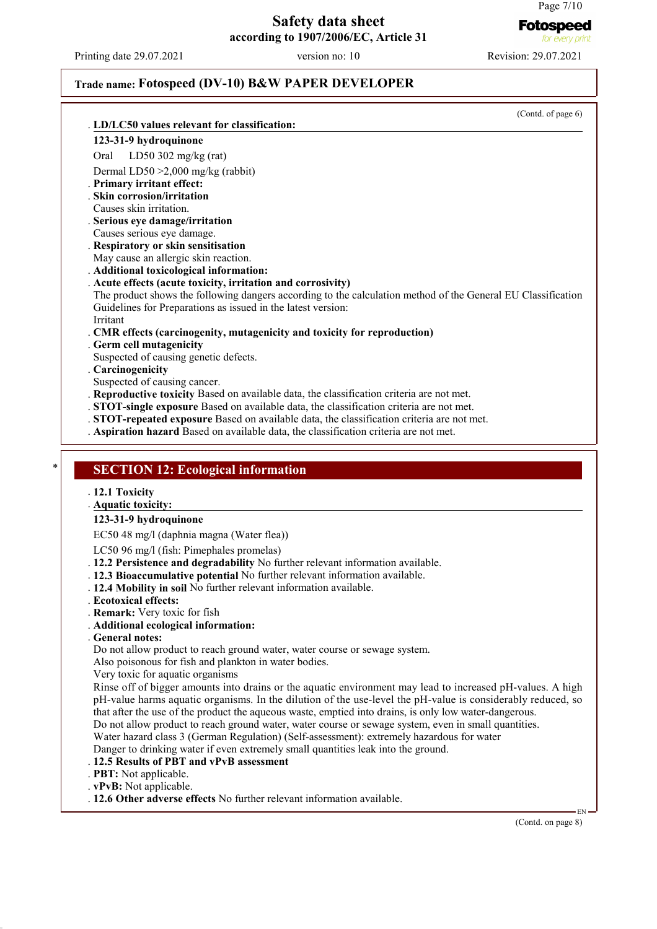#### Page 7/10 **Fotospeed**

#### **Safety data sheet according to 1907/2006/EC, Article 31**

Printing date 29.07.2021 version no: 10 Revision: 29.07.2021

#### **Trade name: Fotospeed (DV-10) B&W PAPER DEVELOPER**

(Contd. of page 6) **LD/LC50 values relevant for classification:** . **123-31-9 hydroquinone** Oral LD50 302 mg/kg (rat) Dermal LD50 >2,000 mg/kg (rabbit) . **Primary irritant effect:** . **Skin corrosion/irritation** Causes skin irritation. . **Serious eye damage/irritation** Causes serious eye damage. . **Respiratory or skin sensitisation** May cause an allergic skin reaction. . **Additional toxicological information:** . **Acute effects (acute toxicity, irritation and corrosivity)** The product shows the following dangers according to the calculation method of the General EU Classification Guidelines for Preparations as issued in the latest version: Irritant . **CMR effects (carcinogenity, mutagenicity and toxicity for reproduction)** . **Germ cell mutagenicity** Suspected of causing genetic defects. . **Carcinogenicity** Suspected of causing cancer. . **Reproductive toxicity** Based on available data, the classification criteria are not met. . **STOT-single exposure** Based on available data, the classification criteria are not met. . **STOT-repeated exposure** Based on available data, the classification criteria are not met. . **Aspiration hazard** Based on available data, the classification criteria are not met. **SECTION 12: Ecological information** . **12.1 Toxicity Aquatic toxicity:** . **123-31-9 hydroquinone** EC50 48 mg/l (daphnia magna (Water flea)) LC50 96 mg/l (fish: Pimephales promelas) . **12.2 Persistence and degradability** No further relevant information available. . **12.3 Bioaccumulative potential** No further relevant information available. . **12.4 Mobility in soil** No further relevant information available. . **Ecotoxical effects:** . **Remark:** Very toxic for fish . **Additional ecological information:** . **General notes:** Do not allow product to reach ground water, water course or sewage system. Also poisonous for fish and plankton in water bodies. Very toxic for aquatic organisms

Rinse off of bigger amounts into drains or the aquatic environment may lead to increased pH-values. A high pH-value harms aquatic organisms. In the dilution of the use-level the pH-value is considerably reduced, so that after the use of the product the aqueous waste, emptied into drains, is only low water-dangerous. Do not allow product to reach ground water, water course or sewage system, even in small quantities.

Water hazard class 3 (German Regulation) (Self-assessment): extremely hazardous for water

Danger to drinking water if even extremely small quantities leak into the ground.

#### . **12.5 Results of PBT and vPvB assessment**

. **PBT:** Not applicable.

. **vPvB:** Not applicable.

. **12.6 Other adverse effects** No further relevant information available.

(Contd. on page 8)

EN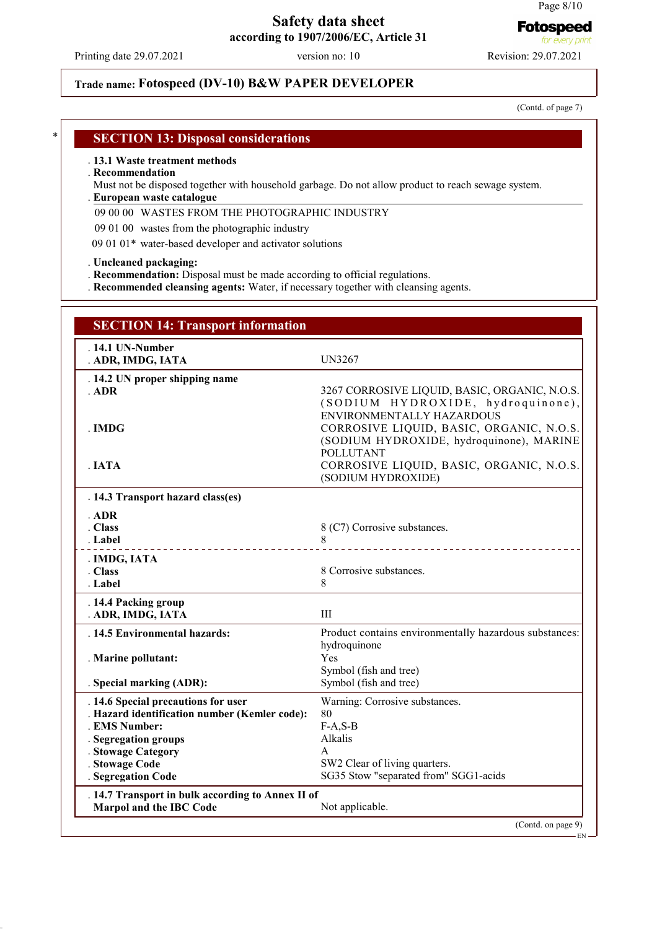#### Page 8/10

**Fotospeed** for every pr

## **Safety data sheet according to 1907/2006/EC, Article 31**

Printing date 29.07.2021 version no: 10 Revision: 29.07.2021

#### (Contd. of page 7)

#### **SECTION 13: Disposal considerations**

#### . **13.1 Waste treatment methods**

#### . **Recommendation**

- Must not be disposed together with household garbage. Do not allow product to reach sewage system.
- **European waste catalogue** .
- 09 00 00 WASTES FROM THE PHOTOGRAPHIC INDUSTRY

**Trade name: Fotospeed (DV-10) B&W PAPER DEVELOPER**

- 09 01 00 wastes from the photographic industry
- 09 01 01\* water-based developer and activator solutions

#### . **Uncleaned packaging:**

- . **Recommendation:** Disposal must be made according to official regulations.
- . **Recommended cleansing agents:** Water, if necessary together with cleansing agents.

| <b>SECTION 14: Transport information</b>                                                                                      |                                                                                                                                                                                                                                              |
|-------------------------------------------------------------------------------------------------------------------------------|----------------------------------------------------------------------------------------------------------------------------------------------------------------------------------------------------------------------------------------------|
| . 14.1 UN-Number<br>. ADR, IMDG, IATA                                                                                         | <b>UN3267</b>                                                                                                                                                                                                                                |
| . 14.2 UN proper shipping name<br>ADR                                                                                         | 3267 CORROSIVE LIQUID, BASIC, ORGANIC, N.O.S.                                                                                                                                                                                                |
| . IMDG<br>. IATA                                                                                                              | (SODIUM HYDROXIDE, hydroquinone),<br>ENVIRONMENTALLY HAZARDOUS<br>CORROSIVE LIQUID, BASIC, ORGANIC, N.O.S.<br>(SODIUM HYDROXIDE, hydroquinone), MARINE<br><b>POLLUTANT</b><br>CORROSIVE LIQUID, BASIC, ORGANIC, N.O.S.<br>(SODIUM HYDROXIDE) |
| . 14.3 Transport hazard class(es)                                                                                             |                                                                                                                                                                                                                                              |
| . ADR<br>. Class<br>. Label                                                                                                   | 8 (C7) Corrosive substances.<br>8<br>__________________________                                                                                                                                                                              |
| . IMDG, IATA<br>. Class<br>. Label                                                                                            | 8 Corrosive substances.<br>8                                                                                                                                                                                                                 |
| . 14.4 Packing group<br>. ADR, IMDG, IATA                                                                                     | Ш                                                                                                                                                                                                                                            |
| . 14.5 Environmental hazards:                                                                                                 | Product contains environmentally hazardous substances:                                                                                                                                                                                       |
| . Marine pollutant:<br>. Special marking (ADR):                                                                               | hydroquinone<br>Yes<br>Symbol (fish and tree)<br>Symbol (fish and tree)                                                                                                                                                                      |
| . 14.6 Special precautions for user<br>. Hazard identification number (Kemler code):<br>. EMS Number:<br>. Segregation groups | Warning: Corrosive substances.<br>80<br>$F-A, S-B$<br>Alkalis                                                                                                                                                                                |
| . Stowage Category<br>. Stowage Code<br>. Segregation Code                                                                    | A<br>SW2 Clear of living quarters.<br>SG35 Stow "separated from" SGG1-acids                                                                                                                                                                  |
| . 14.7 Transport in bulk according to Annex II of<br><b>Marpol and the IBC Code</b>                                           | Not applicable.                                                                                                                                                                                                                              |
|                                                                                                                               | (Contd. on page 9)                                                                                                                                                                                                                           |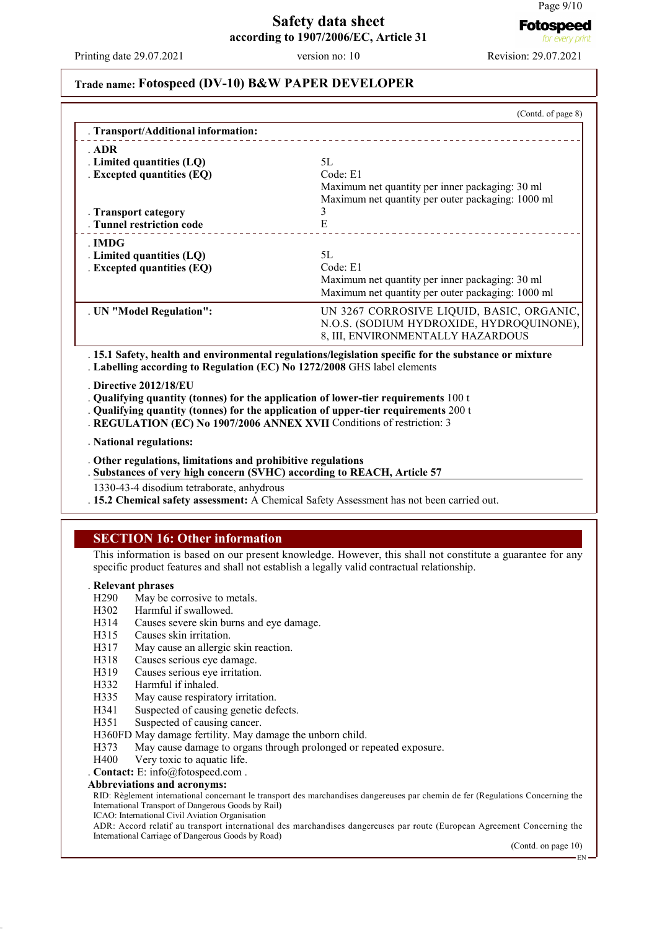Printing date 29.07.2021 version no: 10 Revision: 29.07.2021

#### **Trade name: Fotospeed (DV-10) B&W PAPER DEVELOPER**

| . Transport/Additional information:                                    | (Contd. of page 8)                                                                                    |
|------------------------------------------------------------------------|-------------------------------------------------------------------------------------------------------|
| . ADR                                                                  |                                                                                                       |
| . Limited quantities $(LQ)$                                            | 5L                                                                                                    |
| . Excepted quantities (EQ)                                             | Code: E1                                                                                              |
|                                                                        | Maximum net quantity per inner packaging: 30 ml                                                       |
|                                                                        | Maximum net quantity per outer packaging: 1000 ml                                                     |
| . Transport category                                                   | 3                                                                                                     |
| . Tunnel restriction code                                              | Е                                                                                                     |
| . IMDG                                                                 |                                                                                                       |
| . Limited quantities $(LQ)$                                            | 5L                                                                                                    |
| . Excepted quantities (EQ)                                             | Code: E1                                                                                              |
|                                                                        | Maximum net quantity per inner packaging: 30 ml                                                       |
|                                                                        | Maximum net quantity per outer packaging: 1000 ml                                                     |
| . UN "Model Regulation":                                               | UN 3267 CORROSIVE LIQUID, BASIC, ORGANIC,                                                             |
|                                                                        | N.O.S. (SODIUM HYDROXIDE, HYDROQUINONE),                                                              |
|                                                                        | 8, III, ENVIRONMENTALLY HAZARDOUS                                                                     |
| Labelling according to Regulation (EC) No 1272/2008 GHS label elements | . 15.1 Safety, health and environmental regulations/legislation specific for the substance or mixture |

. **Directive 2012/18/EU**

. **Qualifying quantity (tonnes) for the application of lower-tier requirements** 100 t

. **Qualifying quantity (tonnes) for the application of upper-tier requirements** 200 t

- . **REGULATION (EC) No 1907/2006 ANNEX XVII** Conditions of restriction: 3
- . **National regulations:**
- . **Other regulations, limitations and prohibitive regulations**
- **Substances of very high concern (SVHC) according to REACH, Article 57** .
- 1330-43-4 disodium tetraborate, anhydrous

. **15.2 Chemical safety assessment:** A Chemical Safety Assessment has not been carried out.

## **SECTION 16: Other information**

This information is based on our present knowledge. However, this shall not constitute a guarantee for any specific product features and shall not establish a legally valid contractual relationship.

# **Relevant phrases**<br>H290 May be c

- H290 May be corrosive to metals.<br>H302 Harmful if swallowed.
- H302 Harmful if swallowed.<br>H314 Causes severe skin bur
- H314 Causes severe skin burns and eye damage.<br>H315 Causes skin irritation.
- H315 Causes skin irritation.<br>H317 May cause an allergic
- H317 May cause an allergic skin reaction.<br>H318 Causes serious eve damage
- H318 Causes serious eye damage.<br>H319 Causes serious eve irritation
- H319 Causes serious eye irritation.<br>H332 Harmful if inhaled
- H332 Harmful if inhaled.<br>H335 May cause respirate
- H335 May cause respiratory irritation.<br>H341 Suspected of causing genetic def
- Suspected of causing genetic defects.
- H351 Suspected of causing cancer.
- H360FD May damage fertility. May damage the unborn child.
- H373 May cause damage to organs through prolonged or repeated exposure.
- H400 Very toxic to aquatic life.

. **Contact:** E: info@fotospeed.com .

#### **Abbreviations and acronyms:**

RID: Règlement international concernant le transport des marchandises dangereuses par chemin de fer (Regulations Concerning the International Transport of Dangerous Goods by Rail)

ICAO: International Civil Aviation Organisation

ADR: Accord relatif au transport international des marchandises dangereuses par route (European Agreement Concerning the International Carriage of Dangerous Goods by Road)

(Contd. on page 10)

EN